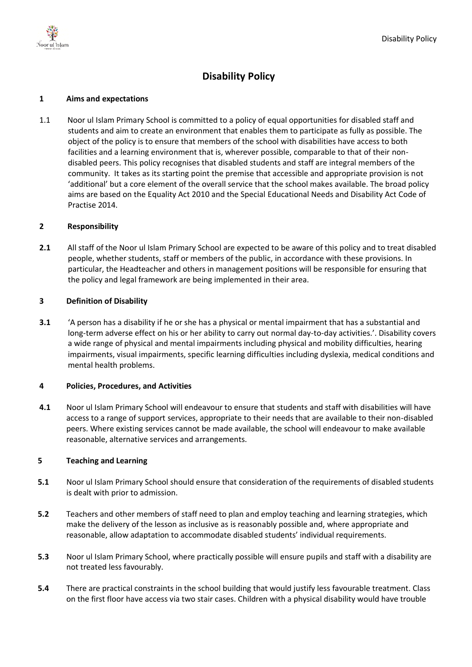

# **Disability Policy**

## **1 Aims and expectations**

1.1 Noor ul Islam Primary School is committed to a policy of equal opportunities for disabled staff and students and aim to create an environment that enables them to participate as fully as possible. The object of the policy is to ensure that members of the school with disabilities have access to both facilities and a learning environment that is, wherever possible, comparable to that of their nondisabled peers. This policy recognises that disabled students and staff are integral members of the community. It takes as its starting point the premise that accessible and appropriate provision is not 'additional' but a core element of the overall service that the school makes available. The broad policy aims are based on the Equality Act 2010 and the Special Educational Needs and Disability Act Code of Practise 2014.

## **2 Responsibility**

**2.1** All staff of the Noor ul Islam Primary School are expected to be aware of this policy and to treat disabled people, whether students, staff or members of the public, in accordance with these provisions. In particular, the Headteacher and others in management positions will be responsible for ensuring that the policy and legal framework are being implemented in their area.

## **3 Definition of Disability**

**3.1** 'A person has a disability if he or she has a physical or mental impairment that has a substantial and long-term adverse effect on his or her ability to carry out normal day-to-day activities.'. Disability covers a wide range of physical and mental impairments including physical and mobility difficulties, hearing impairments, visual impairments, specific learning difficulties including dyslexia, medical conditions and mental health problems.

## **4 Policies, Procedures, and Activities**

**4.1** Noor ul Islam Primary School will endeavour to ensure that students and staff with disabilities will have access to a range of support services, appropriate to their needs that are available to their non-disabled peers. Where existing services cannot be made available, the school will endeavour to make available reasonable, alternative services and arrangements.

#### **5 Teaching and Learning**

- **5.1** Noor ul Islam Primary School should ensure that consideration of the requirements of disabled students is dealt with prior to admission.
- **5.2** Teachers and other members of staff need to plan and employ teaching and learning strategies, which make the delivery of the lesson as inclusive as is reasonably possible and, where appropriate and reasonable, allow adaptation to accommodate disabled students' individual requirements.
- **5.3** Noor ul Islam Primary School, where practically possible will ensure pupils and staff with a disability are not treated less favourably.
- **5.4** There are practical constraints in the school building that would justify less favourable treatment. Class on the first floor have access via two stair cases. Children with a physical disability would have trouble